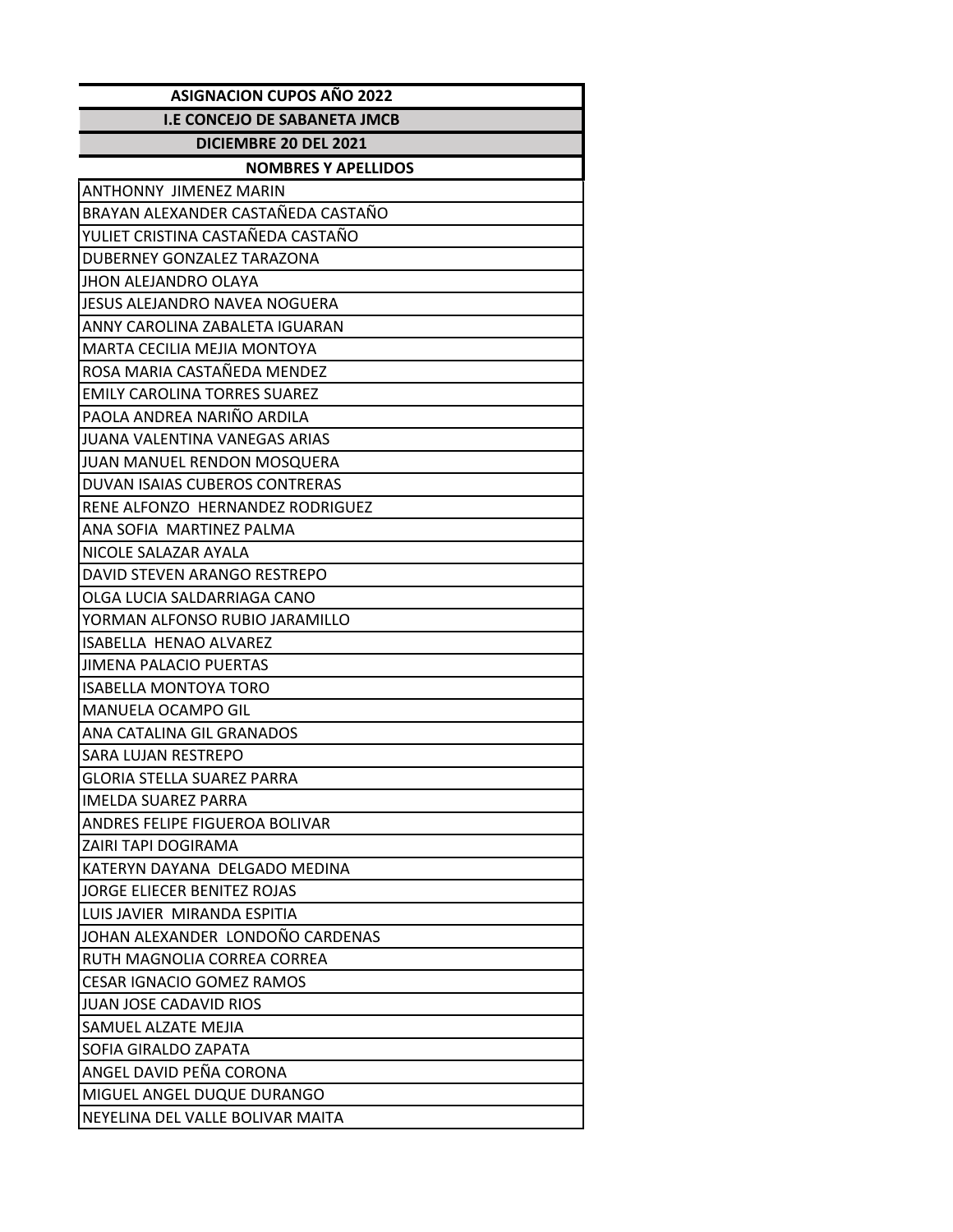| <b>ASIGNACION CUPOS AÑO 2022</b>    |
|-------------------------------------|
| <b>I.E CONCEJO DE SABANETA JMCB</b> |
| DICIEMBRE 20 DEL 2021               |
| <b>NOMBRES Y APELLIDOS</b>          |
| <b>ANTHONNY JIMENEZ MARIN</b>       |
| BRAYAN ALEXANDER CASTAÑEDA CASTAÑO  |
| YULIET CRISTINA CASTAÑEDA CASTAÑO   |
| DUBERNEY GONZALEZ TARAZONA          |
| JHON ALEJANDRO OLAYA                |
| JESUS ALEJANDRO NAVEA NOGUERA       |
| ANNY CAROLINA ZABALETA IGUARAN      |
| MARTA CECILIA MEJIA MONTOYA         |
| ROSA MARIA CASTAÑEDA MENDEZ         |
| <b>EMILY CAROLINA TORRES SUAREZ</b> |
| PAOLA ANDREA NARIÑO ARDILA          |
| JUANA VALENTINA VANEGAS ARIAS       |
| JUAN MANUEL RENDON MOSQUERA         |
| DUVAN ISAIAS CUBEROS CONTRERAS      |
| RENE ALFONZO HERNANDEZ RODRIGUEZ    |
| ANA SOFIA MARTINEZ PALMA            |
| NICOLE SALAZAR AYALA                |
| DAVID STEVEN ARANGO RESTREPO        |
| OLGA LUCIA SALDARRIAGA CANO         |
| YORMAN ALFONSO RUBIO JARAMILLO      |
| ISABELLA HENAO ALVAREZ              |
| <b>JIMENA PALACIO PUERTAS</b>       |
| lISABELLA MONTOYA TORO              |
| <b>MANUELA OCAMPO GIL</b>           |
| ANA CATALINA GIL GRANADOS           |
| SARA LUJAN RESTREPO                 |
| <b>GLORIA STELLA SUAREZ PARRA</b>   |
| IIMELDA SUAREZ PARRA                |
| ANDRES FELIPE FIGUEROA BOLIVAR      |
| ZAIRI TAPI DOGIRAMA                 |
| KATERYN DAYANA DELGADO MEDINA       |
| <b>JORGE ELIECER BENITEZ ROJAS</b>  |
| LUIS JAVIER MIRANDA ESPITIA         |
| JOHAN ALEXANDER LONDOÑO CARDENAS    |
| RUTH MAGNOLIA CORREA CORREA         |
| <b>CESAR IGNACIO GOMEZ RAMOS</b>    |
| <b>JUAN JOSE CADAVID RIOS</b>       |
| SAMUEL ALZATE MEJIA                 |
| SOFIA GIRALDO ZAPATA                |
| ANGEL DAVID PEÑA CORONA             |
| MIGUEL ANGEL DUQUE DURANGO          |
| NEYELINA DEL VALLE BOLIVAR MAITA    |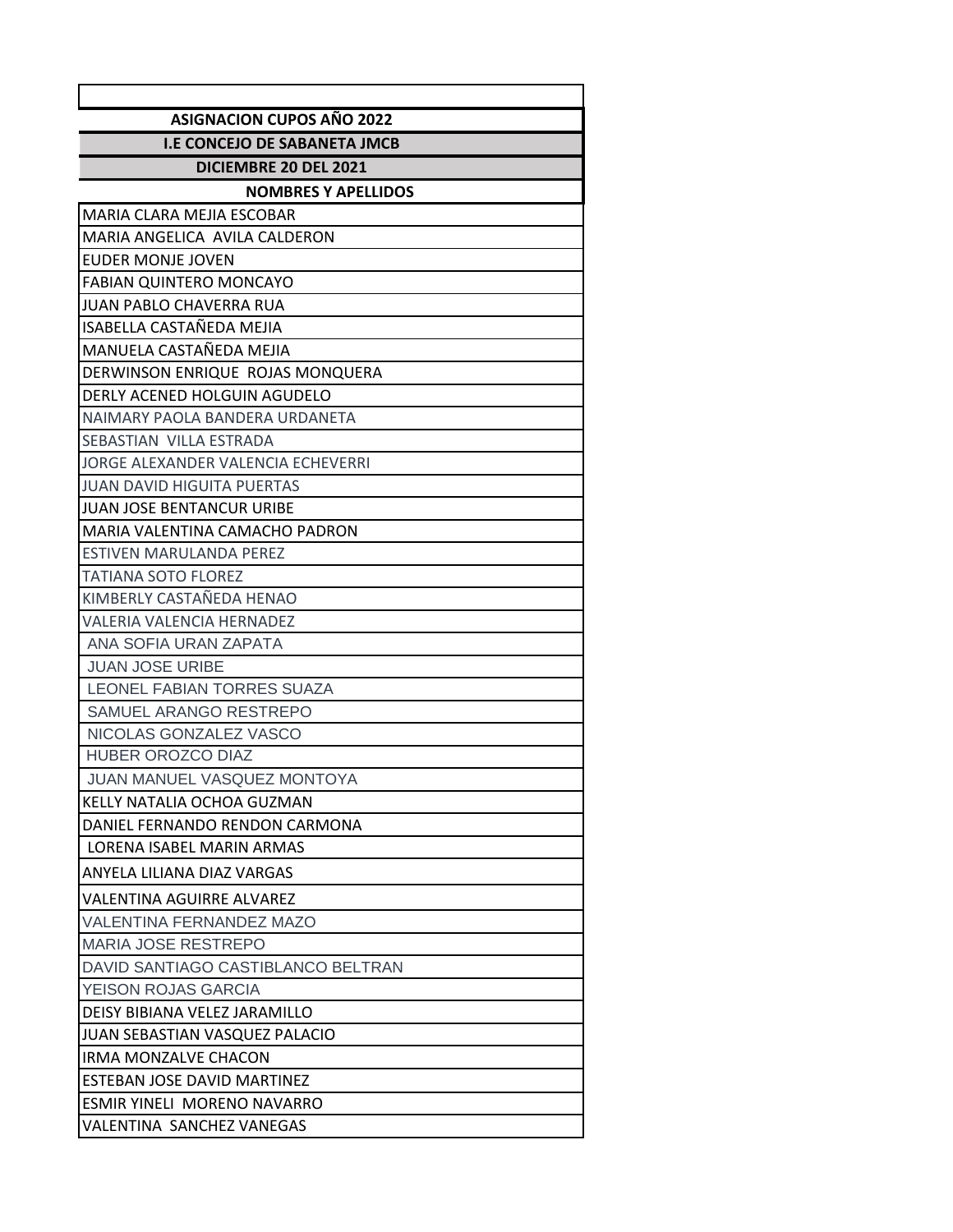| <b>ASIGNACION CUPOS AÑO 2022</b>    |
|-------------------------------------|
| <b>I.E CONCEJO DE SABANETA JMCB</b> |
| DICIEMBRE 20 DEL 2021               |
| <b>NOMBRES Y APELLIDOS</b>          |
| MARIA CLARA MEJIA ESCOBAR           |
| MARIA ANGELICA AVILA CALDERON       |
| EUDER MONJE JOVEN                   |
| <b>FABIAN QUINTERO MONCAYO</b>      |
| JUAN PABLO CHAVERRA RUA             |
| ISABELLA CASTAÑEDA MEJIA            |
| MANUELA CASTAÑEDA MEJIA             |
| DERWINSON ENRIQUE ROJAS MONQUERA    |
| DERLY ACENED HOLGUIN AGUDELO        |
| NAIMARY PAOLA BANDERA URDANETA      |
| SEBASTIAN VILLA ESTRADA             |
| JORGE ALEXANDER VALENCIA ECHEVERRI  |
| <b>JUAN DAVID HIGUITA PUERTAS</b>   |
| <b>JUAN JOSE BENTANCUR URIBE</b>    |
| MARIA VALENTINA CAMACHO PADRON      |
| <b>ESTIVEN MARULANDA PEREZ</b>      |
| <b>TATIANA SOTO FLOREZ</b>          |
| KIMBERLY CASTAÑEDA HENAO            |
| <b>VALERIA VALENCIA HERNADEZ</b>    |
| ANA SOFIA URAN ZAPATA               |
| <b>JUAN JOSE URIBE</b>              |
| <b>LEONEL FABIAN TORRES SUAZA</b>   |
| SAMUEL ARANGO RESTREPO              |
| NICOLAS GONZALEZ VASCO              |
| <b>HUBER OROZCO DIAZ</b>            |
| JUAN MANUEL VASQUEZ MONTOYA         |
| KELLY NATALIA OCHOA GUZMAN          |
| DANIEL FERNANDO RENDON CARMONA      |
| LORENA ISABEL MARIN ARMAS           |
| ANYELA LILIANA DIAZ VARGAS          |
| VALENTINA AGUIRRE ALVAREZ           |
| VALENTINA FERNANDEZ MAZO            |
| <b>MARIA JOSE RESTREPO</b>          |
| DAVID SANTIAGO CASTIBLANCO BELTRAN  |
| YEISON ROJAS GARCIA                 |
| DEISY BIBIANA VELEZ JARAMILLO       |
| JUAN SEBASTIAN VASQUEZ PALACIO      |
| <b>IRMA MONZALVE CHACON</b>         |
| ESTEBAN JOSE DAVID MARTINEZ         |
| ESMIR YINELI MORENO NAVARRO         |
| VALENTINA SANCHEZ VANEGAS           |